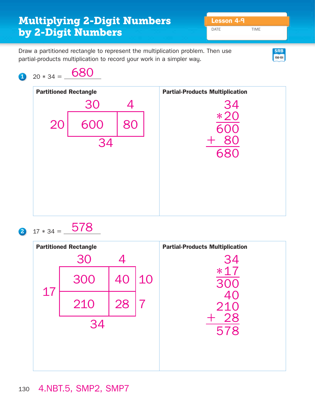## Draw a partitioned rectangle to represent the multiplication problem. Then use DATE TIME **Multiplying 2-Digit Numbers Lesson 4-9 by 2-Digit Numbers SRB**

**150-151**

partial-products multiplication to record your work in a simpler way.

## $1 \t20 * 34 = \t680$



 $2 \t17 * 34 = \t578$ 

| <b>Partitioned Rectangle</b> |     |    |    | <b>Partial-Products Multiplication</b> |
|------------------------------|-----|----|----|----------------------------------------|
|                              | 30  | 4  |    | 34                                     |
| 17                           | 300 | 40 | 10 | $*17$                                  |
|                              | 210 | 28 | 7  | 40<br>210                              |
| 34                           |     |    |    | 28<br>578                              |
|                              |     |    |    |                                        |
|                              |     |    |    |                                        |

## 4.NBT.5, SMP2, SMP7 130